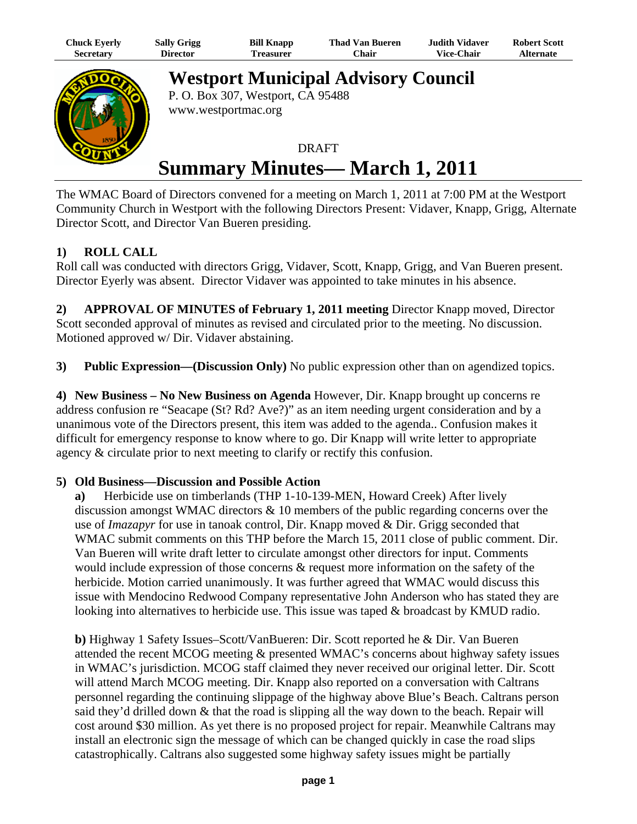| Chuck Eyerly     | <b>Sally Grigg</b> | <b>Bill Knapp</b> | <b>Thad Van Bueren</b> | Judith Vidaver    | <b>Robert Scott</b> |
|------------------|--------------------|-------------------|------------------------|-------------------|---------------------|
| <b>Secretary</b> | Director           | ı'reasurer        | Chair                  | <b>Vice-Chair</b> | <b>Alternate</b>    |



**Westport Municipal Advisory Council** P. O. Box 307, Westport, CA 95488

www.westportmac.org

## DRAFT **Summary Minutes— March 1, 2011**

The WMAC Board of Directors convened for a meeting on March 1, 2011 at 7:00 PM at the Westport Community Church in Westport with the following Directors Present: Vidaver, Knapp, Grigg, Alternate Director Scott, and Director Van Bueren presiding.

## **1) ROLL CALL**

Roll call was conducted with directors Grigg, Vidaver, Scott, Knapp, Grigg, and Van Bueren present. Director Eyerly was absent. Director Vidaver was appointed to take minutes in his absence.

**2) APPROVAL OF MINUTES of February 1, 2011 meeting** Director Knapp moved, Director Scott seconded approval of minutes as revised and circulated prior to the meeting. No discussion. Motioned approved w/ Dir. Vidaver abstaining.

**3) Public Expression—(Discussion Only)** No public expression other than on agendized topics.

**4) New Business – No New Business on Agenda** However, Dir. Knapp brought up concerns re address confusion re "Seacape (St? Rd? Ave?)" as an item needing urgent consideration and by a unanimous vote of the Directors present, this item was added to the agenda.. Confusion makes it difficult for emergency response to know where to go. Dir Knapp will write letter to appropriate agency & circulate prior to next meeting to clarify or rectify this confusion.

## **5) Old Business—Discussion and Possible Action**

**a)** Herbicide use on timberlands (THP 1-10-139-MEN, Howard Creek) After lively discussion amongst WMAC directors & 10 members of the public regarding concerns over the use of *Imazapyr* for use in tanoak control, Dir. Knapp moved & Dir. Grigg seconded that WMAC submit comments on this THP before the March 15, 2011 close of public comment. Dir. Van Bueren will write draft letter to circulate amongst other directors for input. Comments would include expression of those concerns & request more information on the safety of the herbicide. Motion carried unanimously. It was further agreed that WMAC would discuss this issue with Mendocino Redwood Company representative John Anderson who has stated they are looking into alternatives to herbicide use. This issue was taped & broadcast by KMUD radio.

**b)** Highway 1 Safety Issues–Scott/VanBueren: Dir. Scott reported he & Dir. Van Bueren attended the recent MCOG meeting & presented WMAC's concerns about highway safety issues in WMAC's jurisdiction. MCOG staff claimed they never received our original letter. Dir. Scott will attend March MCOG meeting. Dir. Knapp also reported on a conversation with Caltrans personnel regarding the continuing slippage of the highway above Blue's Beach. Caltrans person said they'd drilled down & that the road is slipping all the way down to the beach. Repair will cost around \$30 million. As yet there is no proposed project for repair. Meanwhile Caltrans may install an electronic sign the message of which can be changed quickly in case the road slips catastrophically. Caltrans also suggested some highway safety issues might be partially